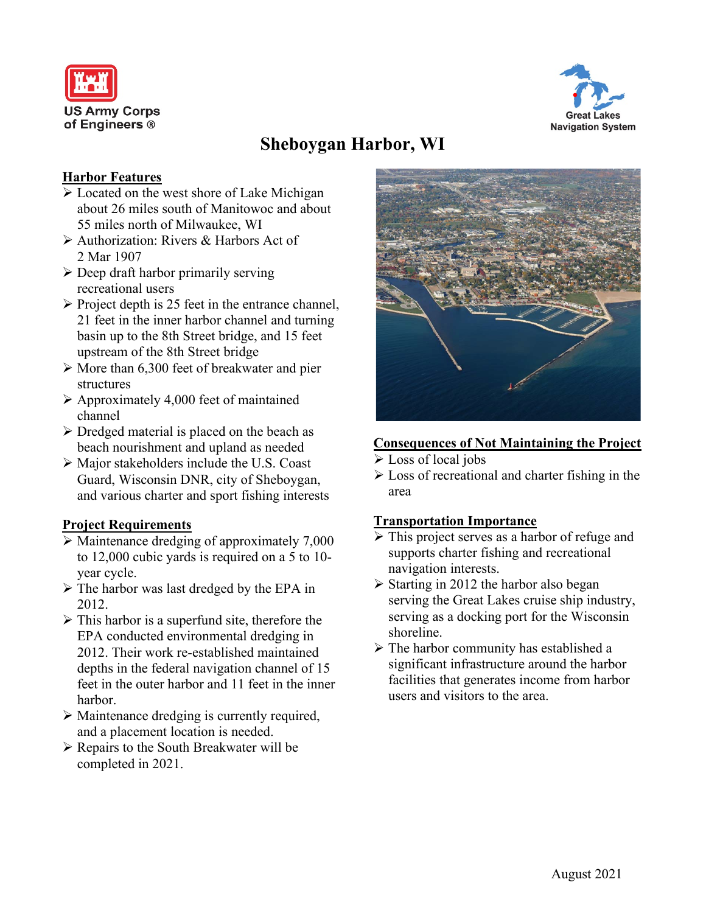



# **Sheboygan Harbor, WI**

#### **Harbor Features**

- $\triangleright$  Located on the west shore of Lake Michigan about 26 miles south of Manitowoc and about 55 miles north of Milwaukee, WI
- Authorization: Rivers & Harbors Act of 2 Mar 1907
- $\triangleright$  Deep draft harbor primarily serving recreational users
- $\triangleright$  Project depth is 25 feet in the entrance channel, 21 feet in the inner harbor channel and turning basin up to the 8th Street bridge, and 15 feet upstream of the 8th Street bridge
- $\triangleright$  More than 6,300 feet of breakwater and pier structures
- $\triangleright$  Approximately 4,000 feet of maintained channel
- $\triangleright$  Dredged material is placed on the beach as beach nourishment and upland as needed
- Major stakeholders include the U.S. Coast Guard, Wisconsin DNR, city of Sheboygan, and various charter and sport fishing interests

## **Project Requirements**

- $\triangleright$  Maintenance dredging of approximately 7,000 to 12,000 cubic yards is required on a 5 to 10 year cycle.
- $\triangleright$  The harbor was last dredged by the EPA in 2012.
- $\triangleright$  This harbor is a superfund site, therefore the EPA conducted environmental dredging in 2012. Their work re-established maintained depths in the federal navigation channel of 15 feet in the outer harbor and 11 feet in the inner harbor.
- Maintenance dredging is currently required, and a placement location is needed.
- Repairs to the South Breakwater will be completed in 2021.



#### **Consequences of Not Maintaining the Project**

- Loss of local jobs
- $\triangleright$  Loss of recreational and charter fishing in the area

#### **Transportation Importance**

- > This project serves as a harbor of refuge and supports charter fishing and recreational navigation interests.
- $\triangleright$  Starting in 2012 the harbor also began serving the Great Lakes cruise ship industry, serving as a docking port for the Wisconsin shoreline.
- The harbor community has established a significant infrastructure around the harbor facilities that generates income from harbor users and visitors to the area.